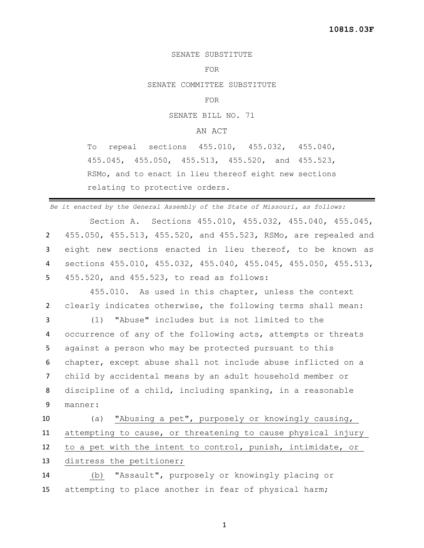## SENATE SUBSTITUTE

## FOR

SENATE COMMITTEE SUBSTITUTE

FOR

SENATE BILL NO. 71

## AN ACT

To repeal sections 455.010, 455.032, 455.040, 455.045, 455.050, 455.513, 455.520, and 455.523, RSMo, and to enact in lieu thereof eight new sections relating to protective orders.

*Be it enacted by the General Assembly of the State of Missouri, as follows:*

Section A. Sections 455.010, 455.032, 455.040, 455.045, 455.050, 455.513, 455.520, and 455.523, RSMo, are repealed and eight new sections enacted in lieu thereof, to be known as sections 455.010, 455.032, 455.040, 455.045, 455.050, 455.513, 455.520, and 455.523, to read as follows:

455.010. As used in this chapter, unless the context 2 clearly indicates otherwise, the following terms shall mean:

 (1) "Abuse" includes but is not limited to the occurrence of any of the following acts, attempts or threats against a person who may be protected pursuant to this chapter, except abuse shall not include abuse inflicted on a child by accidental means by an adult household member or discipline of a child, including spanking, in a reasonable 9 manner:

 (a) "Abusing a pet", purposely or knowingly causing, attempting to cause, or threatening to cause physical injury to a pet with the intent to control, punish, intimidate, or distress the petitioner; (b) "Assault", purposely or knowingly placing or

15 attempting to place another in fear of physical harm;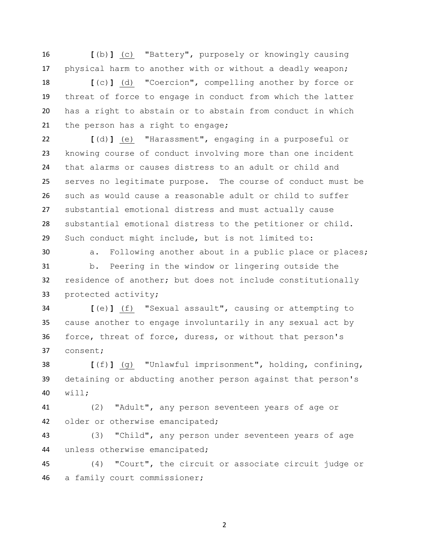**[**(b)**]** (c) "Battery", purposely or knowingly causing physical harm to another with or without a deadly weapon;

 **[**(c)**]** (d) "Coercion", compelling another by force or threat of force to engage in conduct from which the latter has a right to abstain or to abstain from conduct in which 21 the person has a right to engage;

 **[**(d)**]** (e) "Harassment", engaging in a purposeful or knowing course of conduct involving more than one incident that alarms or causes distress to an adult or child and serves no legitimate purpose. The course of conduct must be such as would cause a reasonable adult or child to suffer substantial emotional distress and must actually cause substantial emotional distress to the petitioner or child. Such conduct might include, but is not limited to:

a. Following another about in a public place or places;

 b. Peering in the window or lingering outside the residence of another; but does not include constitutionally protected activity;

 **[**(e)**]** (f) "Sexual assault", causing or attempting to cause another to engage involuntarily in any sexual act by force, threat of force, duress, or without that person's consent;

 **[**(f)**]** (g) "Unlawful imprisonment", holding, confining, detaining or abducting another person against that person's will;

 (2) "Adult", any person seventeen years of age or older or otherwise emancipated;

 (3) "Child", any person under seventeen years of age unless otherwise emancipated;

 (4) "Court", the circuit or associate circuit judge or a family court commissioner;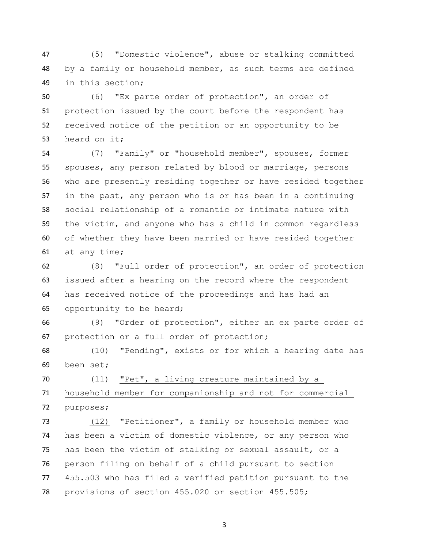(5) "Domestic violence", abuse or stalking committed by a family or household member, as such terms are defined in this section;

 (6) "Ex parte order of protection", an order of protection issued by the court before the respondent has received notice of the petition or an opportunity to be heard on it;

 (7) "Family" or "household member", spouses, former spouses, any person related by blood or marriage, persons who are presently residing together or have resided together in the past, any person who is or has been in a continuing social relationship of a romantic or intimate nature with the victim, and anyone who has a child in common regardless of whether they have been married or have resided together at any time;

 (8) "Full order of protection", an order of protection issued after a hearing on the record where the respondent has received notice of the proceedings and has had an opportunity to be heard;

 (9) "Order of protection", either an ex parte order of protection or a full order of protection;

 (10) "Pending", exists or for which a hearing date has been set;

 (11) "Pet", a living creature maintained by a household member for companionship and not for commercial purposes;

 (12) "Petitioner", a family or household member who has been a victim of domestic violence, or any person who has been the victim of stalking or sexual assault, or a person filing on behalf of a child pursuant to section 455.503 who has filed a verified petition pursuant to the provisions of section 455.020 or section 455.505;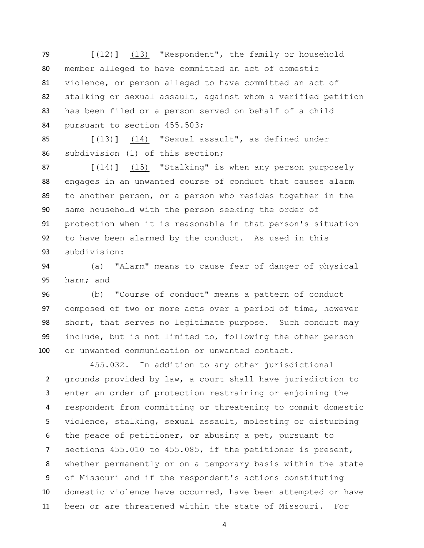**[**(12)**]** (13) "Respondent", the family or household member alleged to have committed an act of domestic violence, or person alleged to have committed an act of stalking or sexual assault, against whom a verified petition has been filed or a person served on behalf of a child 84 pursuant to section 455.503;

 **[**(13)**]** (14) "Sexual assault", as defined under subdivision (1) of this section;

 **[**(14)**]** (15) "Stalking" is when any person purposely engages in an unwanted course of conduct that causes alarm to another person, or a person who resides together in the same household with the person seeking the order of protection when it is reasonable in that person's situation to have been alarmed by the conduct. As used in this subdivision:

 (a) "Alarm" means to cause fear of danger of physical harm; and

 (b) "Course of conduct" means a pattern of conduct composed of two or more acts over a period of time, however short, that serves no legitimate purpose. Such conduct may include, but is not limited to, following the other person or unwanted communication or unwanted contact.

 455.032. In addition to any other jurisdictional grounds provided by law, a court shall have jurisdiction to enter an order of protection restraining or enjoining the respondent from committing or threatening to commit domestic violence, stalking, sexual assault, molesting or disturbing the peace of petitioner, or abusing a pet, pursuant to sections 455.010 to 455.085, if the petitioner is present, whether permanently or on a temporary basis within the state of Missouri and if the respondent's actions constituting domestic violence have occurred, have been attempted or have been or are threatened within the state of Missouri. For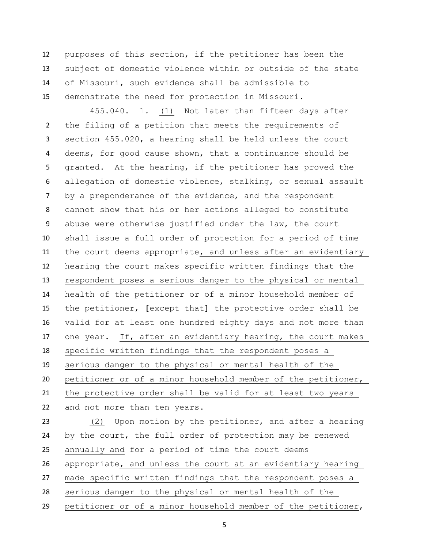purposes of this section, if the petitioner has been the subject of domestic violence within or outside of the state of Missouri, such evidence shall be admissible to demonstrate the need for protection in Missouri.

455.040. 1. (1) Not later than fifteen days after the filing of a petition that meets the requirements of section 455.020, a hearing shall be held unless the court deems, for good cause shown, that a continuance should be granted. At the hearing, if the petitioner has proved the allegation of domestic violence, stalking, or sexual assault by a preponderance of the evidence, and the respondent cannot show that his or her actions alleged to constitute abuse were otherwise justified under the law, the court shall issue a full order of protection for a period of time the court deems appropriate, and unless after an evidentiary hearing the court makes specific written findings that the respondent poses a serious danger to the physical or mental health of the petitioner or of a minor household member of the petitioner, **[**except that**]** the protective order shall be valid for at least one hundred eighty days and not more than one year. If, after an evidentiary hearing, the court makes specific written findings that the respondent poses a serious danger to the physical or mental health of the petitioner or of a minor household member of the petitioner, the protective order shall be valid for at least two years and not more than ten years. (2) Upon motion by the petitioner, and after a hearing by the court, the full order of protection may be renewed annually and for a period of time the court deems appropriate, and unless the court at an evidentiary hearing made specific written findings that the respondent poses a serious danger to the physical or mental health of the petitioner or of a minor household member of the petitioner,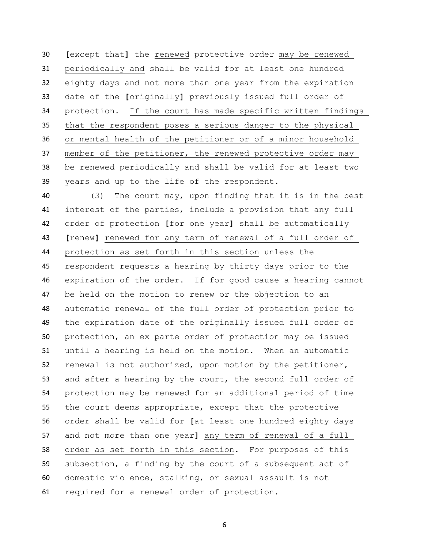**[**except that**]** the renewed protective order may be renewed periodically and shall be valid for at least one hundred eighty days and not more than one year from the expiration date of the **[**originally**]** previously issued full order of protection. If the court has made specific written findings that the respondent poses a serious danger to the physical or mental health of the petitioner or of a minor household 37 member of the petitioner, the renewed protective order may be renewed periodically and shall be valid for at least two years and up to the life of the respondent.

 (3) The court may, upon finding that it is in the best interest of the parties, include a provision that any full order of protection **[**for one year**]** shall be automatically **[**renew**]** renewed for any term of renewal of a full order of protection as set forth in this section unless the respondent requests a hearing by thirty days prior to the expiration of the order. If for good cause a hearing cannot be held on the motion to renew or the objection to an automatic renewal of the full order of protection prior to the expiration date of the originally issued full order of protection, an ex parte order of protection may be issued until a hearing is held on the motion. When an automatic renewal is not authorized, upon motion by the petitioner, 53 and after a hearing by the court, the second full order of protection may be renewed for an additional period of time the court deems appropriate, except that the protective order shall be valid for **[**at least one hundred eighty days and not more than one year**]** any term of renewal of a full order as set forth in this section. For purposes of this subsection, a finding by the court of a subsequent act of domestic violence, stalking, or sexual assault is not required for a renewal order of protection.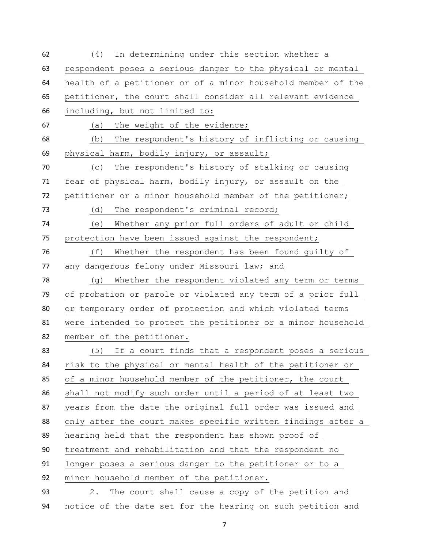(4) In determining under this section whether a respondent poses a serious danger to the physical or mental health of a petitioner or of a minor household member of the petitioner, the court shall consider all relevant evidence including, but not limited to: (a) The weight of the evidence; (b) The respondent's history of inflicting or causing physical harm, bodily injury, or assault; (c) The respondent's history of stalking or causing fear of physical harm, bodily injury, or assault on the petitioner or a minor household member of the petitioner; (d) The respondent's criminal record; (e) Whether any prior full orders of adult or child protection have been issued against the respondent; (f) Whether the respondent has been found guilty of any dangerous felony under Missouri law; and 78 (g) Whether the respondent violated any term or terms of probation or parole or violated any term of a prior full or temporary order of protection and which violated terms were intended to protect the petitioner or a minor household member of the petitioner. (5) If a court finds that a respondent poses a serious risk to the physical or mental health of the petitioner or 85 of a minor household member of the petitioner, the court shall not modify such order until a period of at least two years from the date the original full order was issued and only after the court makes specific written findings after a hearing held that the respondent has shown proof of treatment and rehabilitation and that the respondent no longer poses a serious danger to the petitioner or to a minor household member of the petitioner. 2. The court shall cause a copy of the petition and notice of the date set for the hearing on such petition and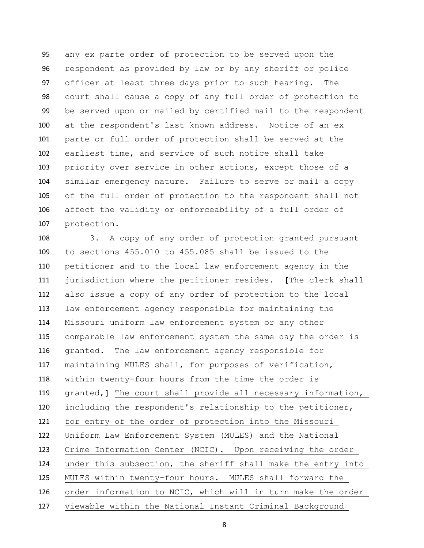any ex parte order of protection to be served upon the respondent as provided by law or by any sheriff or police officer at least three days prior to such hearing. The court shall cause a copy of any full order of protection to be served upon or mailed by certified mail to the respondent at the respondent's last known address. Notice of an ex parte or full order of protection shall be served at the earliest time, and service of such notice shall take priority over service in other actions, except those of a similar emergency nature. Failure to serve or mail a copy of the full order of protection to the respondent shall not affect the validity or enforceability of a full order of protection.

 3. A copy of any order of protection granted pursuant to sections 455.010 to 455.085 shall be issued to the petitioner and to the local law enforcement agency in the jurisdiction where the petitioner resides. **[**The clerk shall also issue a copy of any order of protection to the local law enforcement agency responsible for maintaining the Missouri uniform law enforcement system or any other comparable law enforcement system the same day the order is granted. The law enforcement agency responsible for maintaining MULES shall, for purposes of verification, within twenty-four hours from the time the order is granted,**]** The court shall provide all necessary information, including the respondent's relationship to the petitioner, for entry of the order of protection into the Missouri Uniform Law Enforcement System (MULES) and the National Crime Information Center (NCIC). Upon receiving the order under this subsection, the sheriff shall make the entry into MULES within twenty-four hours. MULES shall forward the order information to NCIC, which will in turn make the order viewable within the National Instant Criminal Background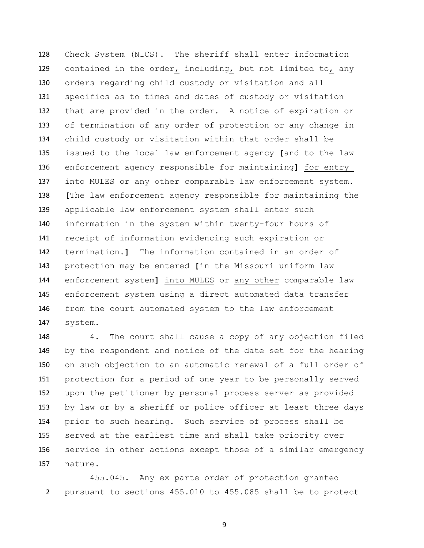Check System (NICS). The sheriff shall enter information contained in the order, including, but not limited to, any orders regarding child custody or visitation and all specifics as to times and dates of custody or visitation that are provided in the order. A notice of expiration or of termination of any order of protection or any change in child custody or visitation within that order shall be issued to the local law enforcement agency **[**and to the law enforcement agency responsible for maintaining**]** for entry into MULES or any other comparable law enforcement system. **[**The law enforcement agency responsible for maintaining the applicable law enforcement system shall enter such information in the system within twenty-four hours of receipt of information evidencing such expiration or termination.**]** The information contained in an order of protection may be entered **[**in the Missouri uniform law enforcement system**]** into MULES or any other comparable law enforcement system using a direct automated data transfer from the court automated system to the law enforcement system.

 4. The court shall cause a copy of any objection filed by the respondent and notice of the date set for the hearing on such objection to an automatic renewal of a full order of protection for a period of one year to be personally served upon the petitioner by personal process server as provided by law or by a sheriff or police officer at least three days prior to such hearing. Such service of process shall be served at the earliest time and shall take priority over service in other actions except those of a similar emergency nature.

 455.045. Any ex parte order of protection granted pursuant to sections 455.010 to 455.085 shall be to protect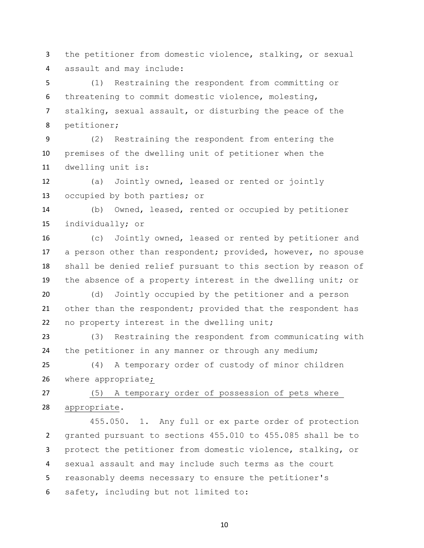the petitioner from domestic violence, stalking, or sexual assault and may include:

 (1) Restraining the respondent from committing or threatening to commit domestic violence, molesting, stalking, sexual assault, or disturbing the peace of the petitioner;

 (2) Restraining the respondent from entering the premises of the dwelling unit of petitioner when the dwelling unit is:

 (a) Jointly owned, leased or rented or jointly occupied by both parties; or

 (b) Owned, leased, rented or occupied by petitioner individually; or

 (c) Jointly owned, leased or rented by petitioner and a person other than respondent; provided, however, no spouse shall be denied relief pursuant to this section by reason of the absence of a property interest in the dwelling unit; or

 (d) Jointly occupied by the petitioner and a person other than the respondent; provided that the respondent has no property interest in the dwelling unit;

 (3) Restraining the respondent from communicating with the petitioner in any manner or through any medium;

 (4) A temporary order of custody of minor children where appropriate;

 (5) A temporary order of possession of pets where appropriate.

455.050. 1. Any full or ex parte order of protection granted pursuant to sections 455.010 to 455.085 shall be to protect the petitioner from domestic violence, stalking, or sexual assault and may include such terms as the court reasonably deems necessary to ensure the petitioner's safety, including but not limited to: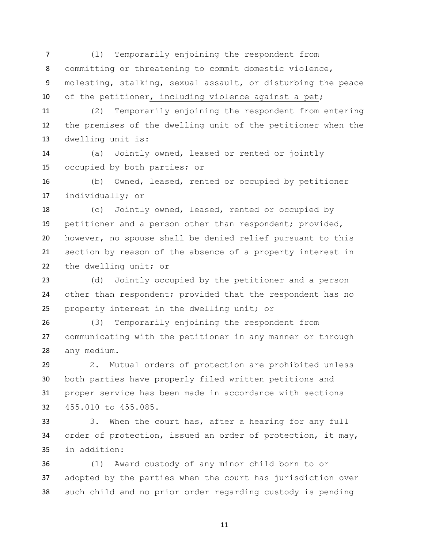(1) Temporarily enjoining the respondent from committing or threatening to commit domestic violence, molesting, stalking, sexual assault, or disturbing the peace 10 of the petitioner, including violence against a pet;

 (2) Temporarily enjoining the respondent from entering the premises of the dwelling unit of the petitioner when the dwelling unit is:

 (a) Jointly owned, leased or rented or jointly occupied by both parties; or

 (b) Owned, leased, rented or occupied by petitioner individually; or

 (c) Jointly owned, leased, rented or occupied by petitioner and a person other than respondent; provided, however, no spouse shall be denied relief pursuant to this section by reason of the absence of a property interest in the dwelling unit; or

 (d) Jointly occupied by the petitioner and a person 24 other than respondent; provided that the respondent has no property interest in the dwelling unit; or

 (3) Temporarily enjoining the respondent from communicating with the petitioner in any manner or through any medium.

 2. Mutual orders of protection are prohibited unless both parties have properly filed written petitions and proper service has been made in accordance with sections 455.010 to 455.085.

 3. When the court has, after a hearing for any full 34 order of protection, issued an order of protection, it may, in addition:

 (1) Award custody of any minor child born to or adopted by the parties when the court has jurisdiction over such child and no prior order regarding custody is pending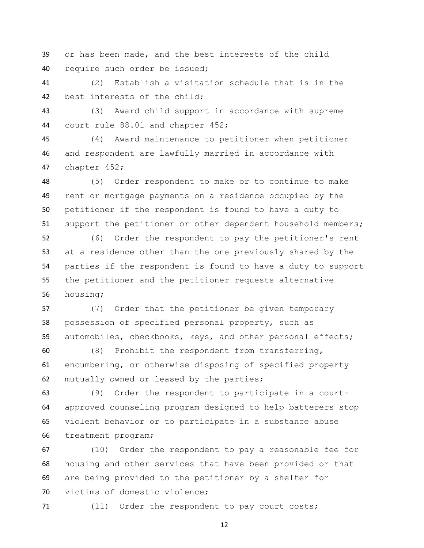or has been made, and the best interests of the child require such order be issued;

 (2) Establish a visitation schedule that is in the best interests of the child;

 (3) Award child support in accordance with supreme court rule 88.01 and chapter 452;

 (4) Award maintenance to petitioner when petitioner and respondent are lawfully married in accordance with chapter 452;

 (5) Order respondent to make or to continue to make rent or mortgage payments on a residence occupied by the petitioner if the respondent is found to have a duty to support the petitioner or other dependent household members;

 (6) Order the respondent to pay the petitioner's rent at a residence other than the one previously shared by the parties if the respondent is found to have a duty to support the petitioner and the petitioner requests alternative housing;

 (7) Order that the petitioner be given temporary possession of specified personal property, such as automobiles, checkbooks, keys, and other personal effects;

 (8) Prohibit the respondent from transferring, encumbering, or otherwise disposing of specified property mutually owned or leased by the parties;

 (9) Order the respondent to participate in a court- approved counseling program designed to help batterers stop violent behavior or to participate in a substance abuse treatment program;

 (10) Order the respondent to pay a reasonable fee for housing and other services that have been provided or that are being provided to the petitioner by a shelter for victims of domestic violence;

(11) Order the respondent to pay court costs;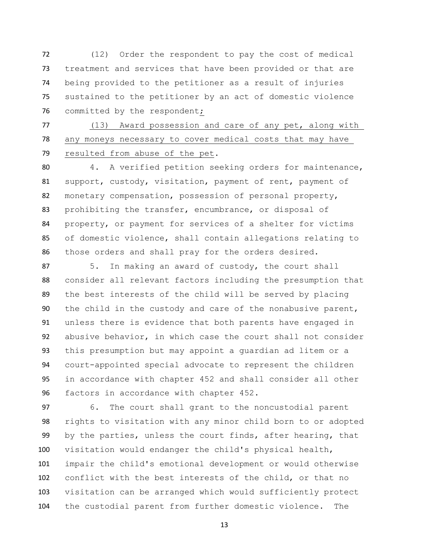(12) Order the respondent to pay the cost of medical treatment and services that have been provided or that are being provided to the petitioner as a result of injuries sustained to the petitioner by an act of domestic violence 76 committed by the respondent;

 (13) Award possession and care of any pet, along with any moneys necessary to cover medical costs that may have resulted from abuse of the pet.

 4. A verified petition seeking orders for maintenance, support, custody, visitation, payment of rent, payment of monetary compensation, possession of personal property, prohibiting the transfer, encumbrance, or disposal of property, or payment for services of a shelter for victims of domestic violence, shall contain allegations relating to those orders and shall pray for the orders desired.

 5. In making an award of custody, the court shall consider all relevant factors including the presumption that the best interests of the child will be served by placing the child in the custody and care of the nonabusive parent, unless there is evidence that both parents have engaged in abusive behavior, in which case the court shall not consider this presumption but may appoint a guardian ad litem or a court-appointed special advocate to represent the children in accordance with chapter 452 and shall consider all other factors in accordance with chapter 452.

 6. The court shall grant to the noncustodial parent rights to visitation with any minor child born to or adopted by the parties, unless the court finds, after hearing, that visitation would endanger the child's physical health, impair the child's emotional development or would otherwise conflict with the best interests of the child, or that no visitation can be arranged which would sufficiently protect the custodial parent from further domestic violence. The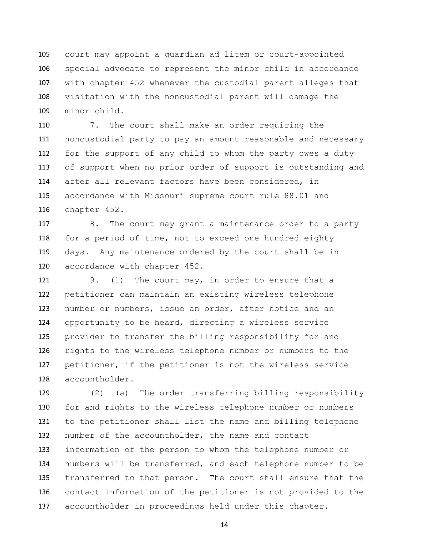court may appoint a guardian ad litem or court-appointed special advocate to represent the minor child in accordance with chapter 452 whenever the custodial parent alleges that visitation with the noncustodial parent will damage the minor child.

 7. The court shall make an order requiring the noncustodial party to pay an amount reasonable and necessary for the support of any child to whom the party owes a duty of support when no prior order of support is outstanding and after all relevant factors have been considered, in accordance with Missouri supreme court rule 88.01 and chapter 452.

117 8. The court may grant a maintenance order to a party for a period of time, not to exceed one hundred eighty days. Any maintenance ordered by the court shall be in accordance with chapter 452.

 9. (1) The court may, in order to ensure that a petitioner can maintain an existing wireless telephone number or numbers, issue an order, after notice and an opportunity to be heard, directing a wireless service provider to transfer the billing responsibility for and rights to the wireless telephone number or numbers to the petitioner, if the petitioner is not the wireless service accountholder.

 (2) (a) The order transferring billing responsibility for and rights to the wireless telephone number or numbers to the petitioner shall list the name and billing telephone number of the accountholder, the name and contact information of the person to whom the telephone number or numbers will be transferred, and each telephone number to be transferred to that person. The court shall ensure that the contact information of the petitioner is not provided to the accountholder in proceedings held under this chapter.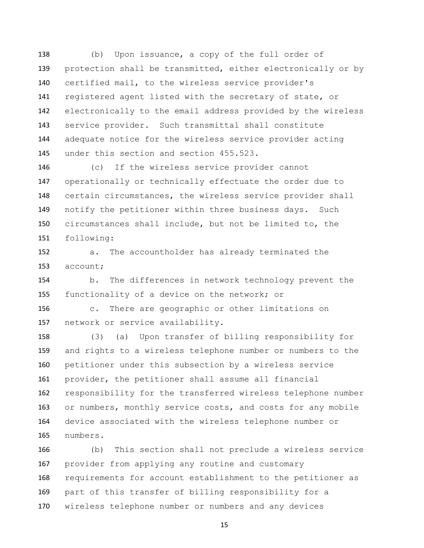(b) Upon issuance, a copy of the full order of protection shall be transmitted, either electronically or by certified mail, to the wireless service provider's registered agent listed with the secretary of state, or electronically to the email address provided by the wireless service provider. Such transmittal shall constitute adequate notice for the wireless service provider acting under this section and section 455.523.

 (c) If the wireless service provider cannot operationally or technically effectuate the order due to certain circumstances, the wireless service provider shall notify the petitioner within three business days. Such circumstances shall include, but not be limited to, the following:

 a. The accountholder has already terminated the account;

 b. The differences in network technology prevent the functionality of a device on the network; or

 c. There are geographic or other limitations on network or service availability.

 (3) (a) Upon transfer of billing responsibility for and rights to a wireless telephone number or numbers to the petitioner under this subsection by a wireless service provider, the petitioner shall assume all financial responsibility for the transferred wireless telephone number or numbers, monthly service costs, and costs for any mobile device associated with the wireless telephone number or numbers.

 (b) This section shall not preclude a wireless service provider from applying any routine and customary requirements for account establishment to the petitioner as part of this transfer of billing responsibility for a wireless telephone number or numbers and any devices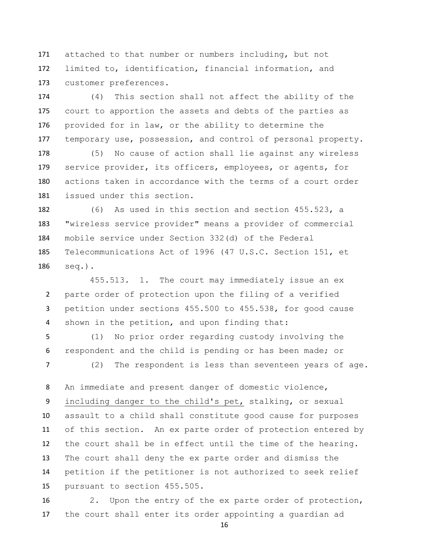attached to that number or numbers including, but not limited to, identification, financial information, and customer preferences.

 (4) This section shall not affect the ability of the court to apportion the assets and debts of the parties as provided for in law, or the ability to determine the 177 temporary use, possession, and control of personal property.

 (5) No cause of action shall lie against any wireless service provider, its officers, employees, or agents, for actions taken in accordance with the terms of a court order issued under this section.

 (6) As used in this section and section 455.523, a "wireless service provider" means a provider of commercial mobile service under Section 332(d) of the Federal Telecommunications Act of 1996 (47 U.S.C. Section 151, et seq.).

455.513. 1. The court may immediately issue an ex parte order of protection upon the filing of a verified petition under sections 455.500 to 455.538, for good cause shown in the petition, and upon finding that:

 (1) No prior order regarding custody involving the respondent and the child is pending or has been made; or (2) The respondent is less than seventeen years of age.

 An immediate and present danger of domestic violence, including danger to the child's pet, stalking, or sexual assault to a child shall constitute good cause for purposes of this section. An ex parte order of protection entered by the court shall be in effect until the time of the hearing. The court shall deny the ex parte order and dismiss the petition if the petitioner is not authorized to seek relief pursuant to section 455.505.

 2. Upon the entry of the ex parte order of protection, the court shall enter its order appointing a guardian ad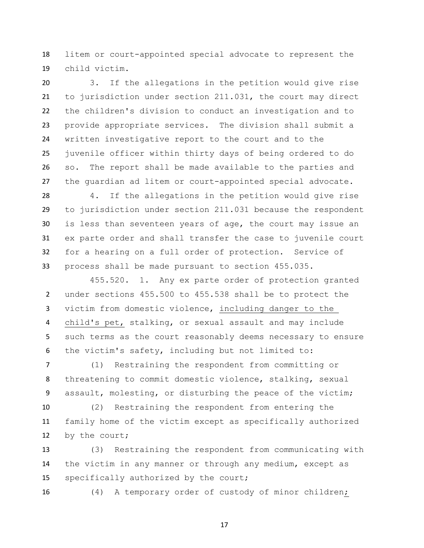litem or court-appointed special advocate to represent the child victim.

 3. If the allegations in the petition would give rise to jurisdiction under section 211.031, the court may direct the children's division to conduct an investigation and to provide appropriate services. The division shall submit a written investigative report to the court and to the juvenile officer within thirty days of being ordered to do so. The report shall be made available to the parties and the guardian ad litem or court-appointed special advocate.

 4. If the allegations in the petition would give rise to jurisdiction under section 211.031 because the respondent is less than seventeen years of age, the court may issue an ex parte order and shall transfer the case to juvenile court for a hearing on a full order of protection. Service of process shall be made pursuant to section 455.035.

455.520. 1. Any ex parte order of protection granted under sections 455.500 to 455.538 shall be to protect the victim from domestic violence, including danger to the child's pet, stalking, or sexual assault and may include such terms as the court reasonably deems necessary to ensure the victim's safety, including but not limited to:

 (1) Restraining the respondent from committing or threatening to commit domestic violence, stalking, sexual assault, molesting, or disturbing the peace of the victim;

 (2) Restraining the respondent from entering the family home of the victim except as specifically authorized by the court;

 (3) Restraining the respondent from communicating with the victim in any manner or through any medium, except as specifically authorized by the court;

(4) A temporary order of custody of minor children;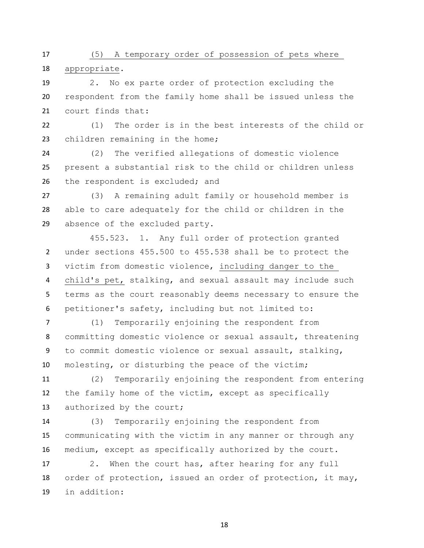(5) A temporary order of possession of pets where appropriate.

 2. No ex parte order of protection excluding the respondent from the family home shall be issued unless the court finds that:

 (1) The order is in the best interests of the child or children remaining in the home;

 (2) The verified allegations of domestic violence present a substantial risk to the child or children unless 26 the respondent is excluded; and

 (3) A remaining adult family or household member is able to care adequately for the child or children in the absence of the excluded party.

455.523. 1. Any full order of protection granted under sections 455.500 to 455.538 shall be to protect the victim from domestic violence, including danger to the child's pet, stalking, and sexual assault may include such terms as the court reasonably deems necessary to ensure the petitioner's safety, including but not limited to:

 (1) Temporarily enjoining the respondent from committing domestic violence or sexual assault, threatening to commit domestic violence or sexual assault, stalking, molesting, or disturbing the peace of the victim;

 (2) Temporarily enjoining the respondent from entering the family home of the victim, except as specifically 13 authorized by the court;

 (3) Temporarily enjoining the respondent from communicating with the victim in any manner or through any medium, except as specifically authorized by the court.

 2. When the court has, after hearing for any full order of protection, issued an order of protection, it may, in addition: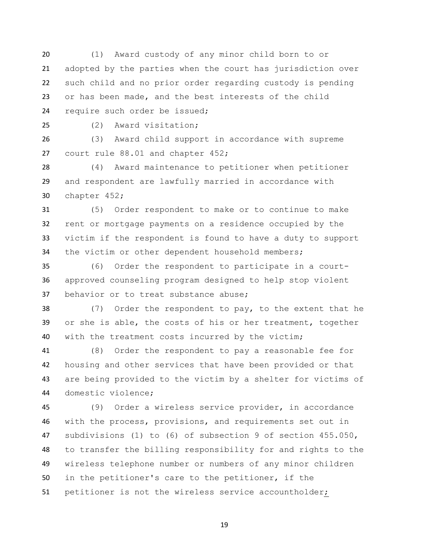(1) Award custody of any minor child born to or adopted by the parties when the court has jurisdiction over such child and no prior order regarding custody is pending or has been made, and the best interests of the child require such order be issued;

(2) Award visitation;

 (3) Award child support in accordance with supreme court rule 88.01 and chapter 452;

 (4) Award maintenance to petitioner when petitioner and respondent are lawfully married in accordance with chapter 452;

 (5) Order respondent to make or to continue to make rent or mortgage payments on a residence occupied by the victim if the respondent is found to have a duty to support the victim or other dependent household members;

 (6) Order the respondent to participate in a court- approved counseling program designed to help stop violent behavior or to treat substance abuse;

 (7) Order the respondent to pay, to the extent that he or she is able, the costs of his or her treatment, together with the treatment costs incurred by the victim;

 (8) Order the respondent to pay a reasonable fee for housing and other services that have been provided or that are being provided to the victim by a shelter for victims of domestic violence;

 (9) Order a wireless service provider, in accordance with the process, provisions, and requirements set out in subdivisions (1) to (6) of subsection 9 of section 455.050, to transfer the billing responsibility for and rights to the wireless telephone number or numbers of any minor children in the petitioner's care to the petitioner, if the petitioner is not the wireless service accountholder;